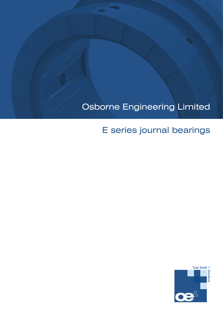# Osborne Engineering Limited

# E series journal bearings

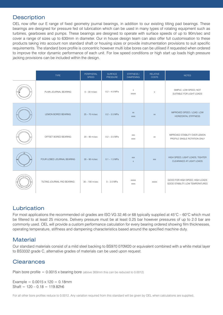# **Description**

OEL now offer our E range of fixed geometry journal bearings, in addition to our existing tilting pad bearings. These bearings are designed for pressure fed oil lubrication which can be used in many types of rotating equipment such as turbines, gearboxes and pumps. These bearings are designed to operate with surface speeds of up to 90m/sec and cover a range of sizes up to 630mm in diameter. Our in house design team can also offer full customisation to these products taking into account non standard shaft or housing sizes or provide instrumentation provisions to suit specific requirements. The standard bore profile is concentric however multi lobe bores can be utilised if requested when ordered to improve the rotor dynamic performance of each unit. For low speed conditions or high start up loads high pressure jacking provisions can be included within the design.

| <b>TYPE</b>                 | PERIPHERAL<br><b>SPEED</b> | <b>SURFACE</b><br><b>PRESSURE</b> | STIFFNESS/<br><b>DAMPENING</b>     | <b>RELATIVE</b><br><b>COSTS</b> | <b>NOTES</b>                                                        |
|-----------------------------|----------------------------|-----------------------------------|------------------------------------|---------------------------------|---------------------------------------------------------------------|
| PLAIN JOURNAL BEARING       | $0 - 30$ m/sec             | $0.2 - 4.0$ MPa                   | $\boldsymbol{\mathsf{X}}$<br>XXXXX | $\mathsf X$                     | SIMPLE, LOW SPEED, NOT<br>SUITABLE FOR LIGHT LOADS                  |
| <b>LEMON BORED BEARING</b>  | $25 - 70$ m/sec            | $0.2 - 3.5$ MPa                   | XX<br><b>XXXX</b>                  | <b>XX</b>                       | IMPROVED SPEED / LOAD. LOW<br><b>HORIZONTAL STIFFNESS</b>           |
| OFFSET BORED BEARING        | $20 - 90$ m/sec            | $0.2 - 3.5$ MPa                   | XXX<br><b>XXXX</b>                 | XX                              | IMPROVED STABILITY OVER LEMON<br>PROFILE SINGLE ROTATION ONLY       |
| FOUR LOBED JOURNAL BEARING  | $30 - 90$ m/sec            | $0.1 - 1.5$ MPa                   | XXX<br>$\mathsf X$                 | XXX                             | HIGH SPEED, LIGHT LOADS, TIGHTER<br>CLEARANCE AT LIGHT LOADS        |
| TILTING JOURNAL PAD BEARING | $30 - 100$ m/sec           | $0 - 3.0$ MPa                     | XXXXX<br>XXXX                      | <b>XXXXX</b>                    | GOOD FOR HIGH SPEED, HIGH LOADS<br>GOOD STABILITY, LOW TEMPERATURES |

# Lubrication

For most applications the recommended oil grades are ISO VG 32,46 or 68 typically supplied at 45°C – 60°C which must be filtered to at least 25 microns. Delivery pressure must be at least 0.25 bar however pressures of up to 2.0 bar are commonly used. OEL will provide a custom performance calculation for every bearing ordered showing film thicknesses, operating temperature, stiffness and dampening characteristics based around the specified machine duty.

# **Material**

Our standard materials consist of a mild steel backing to BS970 070M20 or equivalent combined with a white metal layer to BS3332 grade C, alternative grades of materials can be used upon request.

## **Clearances**

Plain bore profile  $= 0.0015$  x bearing bore (above 300mm this can be reduced to 0.0012)

Example =  $0.0015 \times 120 = 0.18$ mm  $Shaft = 120 - 0.18 = 119.82h6$ 

For all other bore profiles reduce to 0.0012. Any variation required from this standard will be given by OEL when calculations are supplied.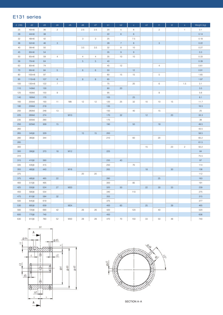## E131 series

| $d$ (H6) | d2               | d3  | d4             | d5  | d6             | d7               | b1     | b <sub>2</sub> | $\mathbf{C}$ | $\mathtt{c2}$ | t1             | t2     | $\mathbf S$  | Weight (kg) |
|----------|------------------|-----|----------------|-----|----------------|------------------|--------|----------------|--------------|---------------|----------------|--------|--------------|-------------|
| 25       | 40m6             | 36  | $\mathbf{2}$   |     | 2.5            | 2.5              | 20     | $\overline{5}$ | 6            |               | $\overline{c}$ |        | $\mathbf{1}$ | 0.1         |
| 28       | 44m6             | 38  |                |     |                |                  | $22\,$ | $\,$ 6 $\,$    | $\,$ 6 $\,$  |               |                |        |              | 0.14        |
| 32       | 48m6             | 42  |                |     | 3              | 3                | 25     |                | 7.5          |               |                |        |              | 0.18        |
| 36       | 52m6             | 46  | $\mathbf{3}$   |     |                |                  | 28     | $\overline{7}$ | $\,$ 8 $\,$  |               | $\mathbf{3}$   |        |              | 0.22        |
| 40       | 56m6             | 50  |                |     | 3.5            | 3.5              | 32     | $^{\rm 8}$     | 10           |               |                |        |              | 0.27        |
| 45       | 60m6             | 54  |                |     |                |                  | 35     | $\mathsf{9}$   | $\mathsf 9$  |               |                |        |              | 0.3         |
| 50       | 65m6             | 59  | $\overline{4}$ |     | $\overline{4}$ | $\overline{4}$   | 35     | 10             | 10           |               |                |        |              | 0.33        |
| 56       | 70m6             | 64  |                |     | $\,$ 5 $\,$    | $\overline{5}$   | 40     |                |              |               |                |        |              | 0.39        |
| 63       | 80m6             | 74  |                |     |                |                  | 45     | 12             |              |               | $\overline{4}$ |        |              | 0.61        |
| 70       | 90 <sub>m6</sub> | 84  | $\overline{5}$ |     | $\,$ 6         | $6\,$            | 50     |                | 12           |               |                |        |              | 0.91        |
| 80       | 105m6            | 97  |                |     |                |                  | 60     | 15             | 15           |               | $\sqrt{5}$     |        |              | 1.65        |
| 90       | 115m6            | 107 | $\,6$          |     | $\,$ 8 $\,$    | $\boldsymbol{8}$ | 65     |                |              |               |                |        |              | 1.97        |
| 100      | 130m6            | 122 | $\overline{7}$ |     |                |                  | 75     |                | 20           |               | $\,6$          |        | 1.5          | 3.1         |
| 110      | 140k6            | 130 |                |     |                |                  | 80     | 20             |              |               |                |        |              | 3.5         |
| 125      | 160k6            | 150 | $\mathsf 9$    |     |                |                  | 95     |                |              |               | 8              |        |              | 5.6         |
| 140      | 180k6            | 170 |                |     |                |                  | 105    |                | 25           |               |                |        |              | 8.1         |
| 160      | 205k6            | 193 | 11             | M8  | 12             | 12               | 120    | 25             | 32           | 10            | 10             | 15     |              | 11.7        |
| 180      | 230k6            | 218 |                |     |                |                  | 135    |                |              |               |                |        |              | 16.5        |
| 200      | 260k6            | 248 | 13             |     |                |                  | 150    |                | 40           |               | 15             |        |              | 25          |
| 225      | 290k6            | 274 |                | M10 |                |                  | 170    | 32             |              | 12            |                | $20\,$ |              | 33.3        |
| 235      | 305k6            | 290 |                |     |                |                  | 175    |                |              |               |                |        |              | 39          |
| 250      | 325k6            | 309 | 15             |     |                |                  | 190    |                | 50           |               | $18$           |        |              | 49.5        |
| 260      |                  |     |                |     |                |                  |        |                |              |               |                |        |              | 43.5        |
| 265      | 345j6            | 329 |                |     | 15             | 15               | 200    |                |              |               |                |        |              | 58.5        |
| 280      | 360j6            | 344 |                |     |                |                  | 210    |                | 60           |               | $20\,$         |        |              | 65.2        |
| 285      |                  |     |                |     |                |                  |        |                |              |               |                |        |              | 61.5        |
| 300      |                  |     |                |     |                |                  |        |                |              | 15            |                | 23     | $\sqrt{2}$   | 50.2        |
| 300      | 390j6            | 370 | 18             | M12 |                |                  | 225    |                |              |               |                |        |              | 84          |
| 310      |                  |     |                |     |                |                  |        |                |              |               |                |        |              | 75.5        |
| 315      | 410j6            | 390 |                |     |                |                  | 235    | 40             |              |               |                |        |              | 97          |
| 335      | 435j6            | 415 |                |     |                |                  | 250    |                | 70           |               |                |        |              | 114         |
| 355      | 460j6            | 440 |                | M16 |                |                  | 265    |                |              | $18$          |                | $30\,$ |              | 136         |
| 375      |                  |     |                |     | $20\,$         | 20               |        |                |              |               |                |        |              | 112         |
| 375      | 485j6            | 465 | 22             |     |                |                  | 280    |                |              |               | 25             |        |              | 163         |
| 400      | 515j6            | 495 |                |     |                |                  | 300    |                | 85           |               |                |        |              | 191         |
| 425      | 550j6            | 524 | 27             | M20 |                |                  | 320    | 50             |              | 22            | $30\,$         | 33     |              | 239         |
| 450      | 580j6            | 554 |                |     |                |                  | 340    |                | 110          |               |                |        |              | 275         |
| 475      | 610j6            | 584 | 32             |     |                |                  | 355    |                |              |               |                |        |              | 315         |
| 500      | 645j6            | 619 |                |     |                |                  | 375    |                |              |               |                |        |              | 377         |
| 530      | 685j6            | 659 |                | M24 |                |                  | 400    | 60             |              | 25            |                | 39     |              | 465         |
| 560      | 720j6            | 690 | 42             |     | $26\,$         | 26               | 420    |                | 120          |               | $40\,$         |        |              | 520         |
| 600      | 770j6            | 740 |                |     |                |                  | 450    |                |              |               |                |        |              | 636         |
| 630      | 810j6            | 780 | 52             | M30 | 28             | 28               | 470    | 70             | 150          | 33            | 50             | 48     |              | 740         |





SECTION A–A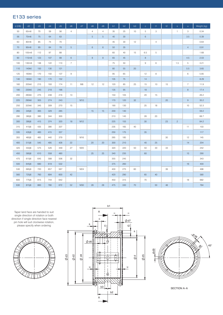## E133 series

| d(H6) | d2                 | d3  | d4  | d5  | d6                     | d7  | d8             | d9             | b1  | b2     | b <sub>3</sub>         | $\mathbf{C}$      | t1                                                                                                                    | t2 | $\mathbf S$    | ū.             | Weight (kg) |
|-------|--------------------|-----|-----|-----|------------------------|-----|----------------|----------------|-----|--------|------------------------|-------------------|-----------------------------------------------------------------------------------------------------------------------|----|----------------|----------------|-------------|
| 50    | 65m6               | 70  | 59  | 56  | $\sqrt{4}$             |     | $\overline{4}$ | $\overline{4}$ | 35  | 25     | 10                     | 5                 | 3                                                                                                                     |    | $\mathbf{1}$   | 3              | 0.34        |
| 56    | 70m6               | 75  | 64  | 63  |                        |     | $\sqrt{5}$     | $\overline{5}$ | 40  | $30\,$ | <b>Service Service</b> | $\,6\,$           |                                                                                                                       |    |                | 3.5            | 0.39        |
| 63    | 80m6               | 85  | 74  | 70  |                        |     |                |                | 45  | 30     | 12                     |                   | $\overline{4}$                                                                                                        |    |                |                | 0.64        |
| 70    | 90m6               | 95  | 84  | 78  | 5 <sup>5</sup>         |     | $6\phantom{.}$ | 6              | 50  | 35     |                        |                   |                                                                                                                       |    |                | $\overline{4}$ | 0.91        |
| 80    | 105m6              | 112 | 97  | 88  |                        |     |                |                | 60  | 40     | 15                     | 6.5               | 5                                                                                                                     |    |                |                | 1.68        |
| 90    | 115m6              | 123 | 107 | 99  | $6\,$                  |     | $\,8\,$        | $\,$ 8 $\,$    | 65  | 45     |                        | $\,8\,$           |                                                                                                                       |    |                | 4.5            | 2.03        |
| 100   | 130m6              | 138 | 122 | 110 | $\overline{7}$         |     |                |                | 75  | 50     |                        | $\mathsf 9$       | 6                                                                                                                     |    | 1.5            | 5              | 3.21        |
| 110   | 140k6              | 150 | 130 | 121 |                        |     |                |                | 80  | 55     | 20                     |                   |                                                                                                                       |    |                | $5.5\,$        | 3.65        |
| 125   | 160k6              | 170 | 150 | 137 | 9                      |     |                |                | 95  | 65     |                        | 12                | 8                                                                                                                     |    |                | 6              | 5.85        |
| 140   | 180k6              | 190 | 170 | 152 |                        |     |                |                | 105 | 75     |                        | 14                |                                                                                                                       |    |                |                | 8.29        |
| 160   | 205k6              | 215 | 193 | 174 | 11                     | M8  | 12             | 12             | 120 | 85     | 25                     | 15                | 10                                                                                                                    | 15 |                | $\overline{7}$ | 11.9        |
| 180   | 230k6              | 245 | 218 | 196 |                        |     |                |                | 135 | 95     |                        | 18                |                                                                                                                       |    |                | $\,8\,$        | 17.4        |
| 200   | 260k6              | 275 | 248 | 216 | 13                     |     |                |                | 150 | 105    |                        | 20                | 15                                                                                                                    |    |                |                | 26.2        |
| 225   | 290k6              | 305 | 274 | 243 | <b>Service Service</b> | M10 |                |                | 170 | 120    | 32                     | <b>CONTRACTOR</b> | <b>Contract Contract Contract Contract Contract Contract Contract Contract Contract Contract Contract Contract Co</b> | 20 |                | $\mathsf g$    | 35.2        |
| 250   | 325k6              | 345 | 309 | 270 | 15                     |     |                |                | 190 | 130    |                        | 25                | 18                                                                                                                    |    |                | 10             | 52.3        |
| 265   | 345 <sub>16</sub>  | 365 | 329 | 285 |                        |     | 15             | 15             | 200 | 140    |                        |                   |                                                                                                                       |    |                |                | 59.2        |
| 280   | 360j6              | 380 | 344 | 300 |                        |     |                |                | 210 | 145    |                        | 28                | 20                                                                                                                    |    |                |                | 68.7        |
| 300   | 390 <sub>j</sub> 6 | 415 | 374 | 320 | 18                     | M12 |                |                | 225 | 155    |                        | 30                |                                                                                                                       | 23 | $\overline{c}$ |                | 84.2        |
| 315   | 410 <sub>16</sub>  | 435 | 390 | 337 |                        |     |                |                | 235 | 165    | 40                     |                   |                                                                                                                       |    |                | 11             | 103         |
| 335   | 435j6              | 460 | 415 | 357 |                        |     |                |                | 250 | 175    |                        | 35                |                                                                                                                       |    |                |                | 117         |
| 355   | 460j6              | 485 | 440 | 379 |                        | M16 |                |                | 265 | 185    |                        |                   |                                                                                                                       | 30 |                | 12             | 145         |
| 400   | 515 <sub>16</sub>  | 545 | 495 | 428 | 22                     |     | 20             | 20             | 300 | 210    |                        | 40                | 25                                                                                                                    |    |                | 14             | 204         |
| 425   | 550j6              | 575 | 526 | 449 | 27                     | M20 |                |                | 320 | 220    | 50                     | 50                | 30                                                                                                                    | 33 |                |                | 242         |
| 450   | 580j6              | 610 | 558 | 480 |                        |     | 25             | 25             | 340 | 235    |                        | 60                |                                                                                                                       |    |                | 15             | 290         |
| 475   | 610 <sub>i</sub> 6 | 645 | 588 | 506 | 32                     |     |                |                | 355 | 245    |                        |                   |                                                                                                                       |    |                |                | 343         |
| 500   | 645j6              | 680 | 619 | 532 |                        |     |                |                | 375 | 260    |                        |                   |                                                                                                                       |    |                | 16             | 400         |
| 530   | 685j6              | 720 | 657 | 567 |                        | M24 |                |                | 400 | 275    | 60                     |                   |                                                                                                                       | 39 |                |                | 498         |
| 560   | 725 <sub>16</sub>  | 760 | 694 | 600 | 42                     |     |                |                | 420 | 290    |                        | 65                | 40                                                                                                                    |    |                |                | 580         |
| 600   | 775j6              | 815 | 744 | 642 |                        |     |                |                | 450 | 315    |                        | 70                |                                                                                                                       |    |                | 18             | 682         |
| 630   | 815j6              | 860 | 780 | 672 | 52                     | M30 | 28             | 28             | 475 | 330    | 70                     |                   | 50                                                                                                                    | 48 |                |                | 784         |

Taper land face are handed to suit single direction of rotation or both direction if single direction face nearest pin hole will suit clockwise rotation, please specify when ordering







SECTION A–A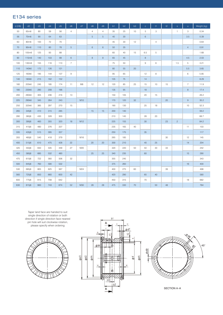## E134 series

| d(H6) | d2                | d3  | d4  | d5  | d6                | d7  | d8             | d9              | b1  | b2  | b3 | $\mathbf{C}$ | t1             | t2     | $\mathbf S$    | ū              | Weight (kg) |
|-------|-------------------|-----|-----|-----|-------------------|-----|----------------|-----------------|-----|-----|----|--------------|----------------|--------|----------------|----------------|-------------|
| 50    | 65m6              | 80  | 59  | 56  | $\overline{4}$    |     | $\overline{4}$ | $\overline{4}$  | 35  | 25  | 10 | 5            | 3              |        | $\mathbf{1}$   | 3              | 0.34        |
| 56    | 70m6              | 90  | 64  | 63  |                   |     | $\sqrt{5}$     | $\overline{5}$  | 40  | 30  |    | $\,$ 6 $\,$  |                |        |                | 3.5            | 0.39        |
| 63    | 80m6              | 100 | 72  | 70  |                   |     |                |                 | 45  | 30  | 12 |              | $\overline{4}$ |        |                |                | 0.64        |
| 70    | 90 <sub>m</sub> 6 | 110 | 80  | 78  | $5\phantom{.0}$   |     | $6\phantom{.}$ | $6\overline{6}$ | 50  | 35  |    |              |                |        |                | $\overline{4}$ | 0.91        |
| 80    | 105m6             | 125 | 93  | 88  |                   |     |                |                 | 60  | 40  | 15 | 6.5          | 5              |        |                |                | 1.68        |
| 90    | 115m6             | 140 | 103 | 99  | $\,6\,$           |     | $\mathbf{8}$   | $\mathbf{8}$    | 65  | 45  |    | $\bf{8}$     |                |        |                | 4.5            | 2.03        |
| 100   | 130m6             | 155 | 116 | 110 | $\overline{7}$    |     |                |                 | 75  | 50  |    | 9            | 6              |        | 1.5            | 5              | 3.21        |
| 110   | 140k6             | 172 | 126 | 121 |                   |     |                |                 | 80  | 55  | 20 |              |                |        |                | 5.5            | 3.65        |
| 125   | 160k6             | 195 | 144 | 137 | $\mathsf g$       |     |                |                 | 95  | 65  |    | 12           | 8              |        |                | 6              | 5.85        |
| 140   | 180k6             | 215 | 162 | 152 |                   |     |                |                 | 105 | 75  |    | 14           |                |        |                |                | 8.29        |
| 160   | 205k6             | 245 | 185 | 174 | 11                | M8  | 12             | 12              | 120 | 85  | 25 | 15           | 10             | 15     |                | $\overline{7}$ | 11.9        |
| 180   | 230k6             | 280 | 208 | 196 |                   |     |                |                 | 135 | 95  |    | 18           |                |        |                | $\,8\,$        | 17.4        |
| 200   | 260k6             | 305 | 236 | 216 | 13                |     |                |                 | 150 | 105 |    | 20           | 15             |        |                |                | 26.2        |
| 225   | 290k6             | 345 | 264 | 243 | <b>CONTRACTOR</b> | M10 |                |                 | 170 | 120 | 32 |              |                | 20     |                | $\mathsf 9$    | 35.2        |
| 250   | 325k6             | 385 | 297 | 270 | 15                |     |                |                 | 190 | 130 |    | 25           | 18             |        |                | $10$           | 52.3        |
| 265   | 345j6             | 410 | 315 | 285 |                   |     | 15             | 15              | 200 | 140 |    |              |                |        |                |                | 59.2        |
| 280   | 360j6             | 430 | 328 | 300 |                   |     |                |                 | 210 | 145 |    | 28           | 20             |        |                |                | 68.7        |
| 300   | 390j6             | 460 | 355 | 320 | 18                | M12 |                |                 | 225 | 155 |    | 30           |                | 23     | $\overline{c}$ |                | 84.2        |
| 315   | 410j6             | 480 | 376 | 337 |                   |     |                |                 | 235 | 165 | 40 |              |                |        |                | 11             | 103         |
| 335   | 435j6             | 515 | 395 | 357 |                   |     |                |                 | 250 | 175 |    | 35           |                |        |                |                | 117         |
| 355   | 460j6             | 540 | 418 | 379 |                   | M16 |                |                 | 265 | 185 |    |              |                | $30\,$ |                | 12             | 145         |
| 400   | 515j6             | 610 | 475 | 428 | 22                |     | 20             | 20              | 300 | 210 |    | 40           | 25             |        |                | 14             | 204         |
| 425   | 550j6             | 650 | 505 | 449 | 27                | M20 |                |                 | 320 | 220 | 50 | 50           | 30             | 33     |                |                | 242         |
| 450   | 580j6             | 685 | 532 | 480 |                   |     | 25             | 25              | 340 | 235 |    | 60           |                |        |                | 15             | 290         |
| 475   | 610j6             | 722 | 560 | 506 | 32                |     |                |                 | 355 | 245 |    |              |                |        |                |                | 343         |
| 500   | 645j6             | 760 | 590 | 532 |                   |     |                |                 | 375 | 260 |    |              |                |        |                | 16             | 400         |
| 530   | 685 <sub>16</sub> | 805 | 625 | 567 |                   | M24 |                |                 | 400 | 275 | 60 |              |                | 39     |                |                | 498         |
| 560   | 725 <sub>16</sub> | 850 | 660 | 600 | 42                |     |                |                 | 420 | 290 |    | 65           | 40             |        |                |                | 580         |
| 600   | 775j6             | 915 | 708 | 642 |                   |     |                |                 | 450 | 315 |    | $70\,$       |                |        |                | $18$           | 682         |
| 630   | 815j6             | 960 | 743 | 674 | 52                | M30 | 28             | 28              | 475 | 330 | 70 |              | 50             | 48     |                |                | 784         |

Taper land face are handed to suit single direction of rotation or both direction if single direction face nearest pin hole will suit clockwise rotation, please specify when ordering





45°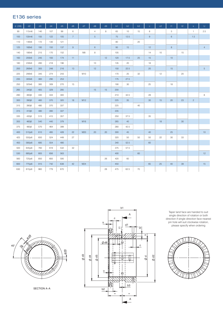## E136 series

| $d$ (H6) | d2                 | d3  | d4  | d5  | d6              | d7  | d8             | d9 | b1  | b2   | b <sub>3</sub> | $\mathbf{C}$   | c2     | tt          | t2     | $\mathbf{s}$   | $\cup$         |
|----------|--------------------|-----|-----|-----|-----------------|-----|----------------|----|-----|------|----------------|----------------|--------|-------------|--------|----------------|----------------|
| 90       | 115m6              | 140 | 107 | 99  | 6               |     | $\overline{4}$ | 8  | 65  | 10   | 15             | $\,8\,$        |        | $\,$ 5 $\,$ |        | $\mathbf{1}$   | 2.5            |
| 100      | 130m6              | 155 | 122 | 105 | $7\overline{ }$ |     | $\overline{5}$ |    | 75  | 12.5 |                | $\overline{9}$ |        | $\,$ 6 $\,$ |        | 1.5            |                |
| 110      | 140k6              | 172 | 130 | 121 |                 |     |                |    | 80  |      | 20             |                |        |             |        |                |                |
| 125      | 160k6              | 195 | 150 | 137 | $\mathsf{9}$    |     | $\,6\,$        |    | 95  | 15   |                | 12             |        | $\,$ 8 $\,$ |        |                | $\overline{4}$ |
| 140      | 180k6              | 215 | 170 | 152 |                 | M8  | 8              |    | 105 |      |                | 14             | $10$   |             | 15     |                |                |
| 160      | 205k6              | 245 | 193 | 174 | 11              |     |                | 12 | 120 | 17.5 | 25             | 15             |        | 10          |        |                |                |
| 180      | 230k6              | 280 | 218 | 196 |                 |     | 10             |    | 135 | 20   |                | 18             |        |             |        |                |                |
| 200      | 260k6              | 305 | 248 | 216 | 13              |     | 12             |    | 150 | 22.5 |                | $20\,$         |        | 15          |        |                | $\overline{5}$ |
| 225      | 290k6              | 345 | 274 | 243 |                 | M10 |                |    | 170 | 25   | 32             |                | $12\,$ |             | 20     |                |                |
| 235      | 305k6              | 360 | 290 | 253 |                 |     |                |    | 175 | 27.5 |                |                |        |             |        |                |                |
| 250      | 325k6              | 385 | 309 | 270 | 15              |     |                |    | 190 | 30   |                | 25             |        | 18          |        |                |                |
| 265      | 345j6              | 405 | 329 | 285 |                 |     | 15             | 15 | 200 |      |                |                |        |             |        |                |                |
| 280      | 360j6              | 430 | 344 | 300 |                 |     |                |    | 210 | 32.5 |                | 28             |        |             |        |                | 8              |
| 300      | 390 <sub>j</sub> 6 | 460 | 370 | 320 | 18              | M12 |                |    | 225 | 35   |                | 30             | $15$   | 20          | 23     | $\overline{c}$ |                |
| 315      | 390j6              | 480 | 370 | 337 |                 |     |                |    | 225 |      | 40             |                |        |             |        |                |                |
| 315      | 410 <sub>16</sub>  | 480 | 390 | 337 |                 |     |                |    | 235 |      |                |                |        |             |        |                |                |
| 335      | 435j6              | 515 | 415 | 357 |                 |     |                |    | 250 | 37.5 |                | 35             |        |             |        |                |                |
| 355      | 460j6              | 540 | 440 | 379 |                 | M16 |                |    | 265 | 40   |                |                | 18     |             | 30     |                |                |
| 375      | 485j6              | 570 | 464 | 399 |                 |     |                |    | 280 | 42.5 |                |                |        |             |        |                |                |
| 400      | 515js6             | 610 | 495 | 428 | 22              | M20 | 20             | 20 | 300 | 45   |                | 40             |        | 25          |        |                | 10             |
| 425      | 550js6             | 650 | 524 | 449 | 27              |     |                |    | 320 | 50   | 50             | 50             | 22     | $30\,$      | $33\,$ |                |                |
| 450      | 580js6             | 685 | 554 | 480 |                 |     |                |    | 340 | 52.5 |                | 60             |        |             |        |                |                |
| 500      | 645js6             | 760 | 619 | 532 | 32              |     |                |    | 375 | 57.5 |                |                |        |             |        |                |                |
| 530      | 685js6             | 805 | 656 | 563 |                 |     |                |    | 400 |      | 60             |                |        |             |        |                | 12             |
| 560      | 725js6             | 850 | 693 | 595 |                 |     |                | 26 | 420 | 60   |                |                |        |             |        |                |                |
| 600      | 775js6             | 915 | 742 | 638 | 42              | M24 |                |    | 450 |      |                | 65             | 25     | 40          | 39     |                | 15             |
| 630      | 815js6             | 960 | 779 | 670 |                 |     |                | 28 | 475 | 62.5 | 70             |                |        |             |        |                |                |



SECTION A–A



Taper land face are handed to suit single direction of rotation or both direction if single direction face nearest pin hole will suit clockwise rotation, please specify when ordering

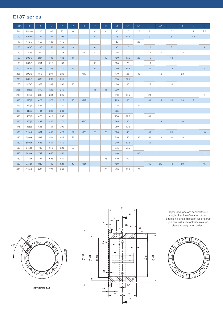## E137 series

| $d$ (H6) | d2                 | d3  | d4  | d5  | d6           | d7  | d8             | d9 | b1  | b2   | b <sub>3</sub> | $\mathbf{C}^{\top}$ | c2 | tt             | t2 | $\mathbf{s}$   | $\cup$         |
|----------|--------------------|-----|-----|-----|--------------|-----|----------------|----|-----|------|----------------|---------------------|----|----------------|----|----------------|----------------|
| 90       | 115m6              | 125 | 107 | 95  | 6            |     | $\overline{4}$ | 8  | 65  | 10   | 15             | 8                   |    | $\overline{5}$ |    | $\overline{1}$ | 2.5            |
| 100      | 130m6              | 142 | 122 | 105 | $7^{\circ}$  |     | $\overline{5}$ |    | 75  | 12.5 |                | $9\,$               |    | $\,$ 6 $\,$    |    | 1.5            |                |
| 110      | 140k6              | 156 | 130 | 115 |              |     |                |    | 80  |      | 20             |                     |    |                |    |                |                |
| 125      | 160k6              | 180 | 150 | 133 | $\mathsf{9}$ |     | $\,6\,$        |    | 95  | 15   |                | 12                  |    | $\,$ 8 $\,$    |    |                | $\overline{4}$ |
| 140      | 180k6              | 200 | 170 | 148 |              | M8  | 8              |    | 105 |      |                | 14                  | 10 |                | 15 |                |                |
| 160      | 205k6              | 227 | 193 | 168 | 11           |     |                | 12 | 120 | 17.5 | 25             | 15                  |    | 10             |    |                |                |
| 180      | 230k6              | 254 | 218 | 188 |              |     | 10             |    | 135 | 20   |                | 18                  |    |                |    |                |                |
| 200      | 260k6              | 283 | 248 | 210 | 13           |     | 12             |    | 150 | 22.5 |                | 20                  |    | 15             |    |                | $\overline{5}$ |
| 225      | 290k6              | 318 | 274 | 235 |              | M10 |                |    | 170 | 25   | 32             |                     | 12 |                | 20 |                |                |
| 235      | 305k6              | 332 | 290 | 245 |              |     |                |    | 175 | 27.5 |                |                     |    |                |    |                |                |
| 250      | 325k6              | 352 | 309 | 260 | 15           |     |                |    | 190 | 30   |                | 25                  |    | 18             |    |                |                |
| 265      | 345j6              | 372 | 329 | 275 |              |     | 15             | 15 | 200 |      |                |                     |    |                |    |                |                |
| 280      | 360j6              | 396 | 344 | 295 |              |     |                |    | 210 | 32.5 |                | 28                  |    |                |    |                | 8              |
| 300      | 390 <sub>j</sub> 6 | 422 | 370 | 315 | 18           | M12 |                |    | 225 | 35   |                | 30                  | 15 | 20             | 23 | $\sqrt{2}$     |                |
| 315      | 390 <sub>j</sub> 6 | 444 | 370 | 330 |              |     |                |    | 225 |      | 40             |                     |    |                |    |                |                |
| 315      | 410 <sub>16</sub>  | 444 | 390 | 330 |              |     |                |    | 235 |      |                |                     |    |                |    |                |                |
| 335      | 435j6              | 472 | 415 | 350 |              |     |                |    | 250 | 37.5 |                | 35                  |    |                |    |                |                |
| 355      | 460 <sub>i</sub> 6 | 498 | 440 | 370 |              | M16 |                |    | 265 | 40   |                |                     | 18 |                | 30 |                |                |
| 375      | 485j6              | 525 | 464 | 390 |              |     |                |    | 280 | 42.5 |                |                     |    |                |    |                |                |
| 400      | 515js6             | 564 | 495 | 420 | 22           | M20 | 20             | 20 | 300 | 45   |                | 40                  |    | 25             |    |                | 10             |
| 425      | 550js6             | 598 | 524 | 445 | 27           |     |                |    | 320 | 50   | 50             | 50                  | 22 | 30             | 33 |                |                |
| 450      | 580js6             | 633 | 554 | 470 |              |     |                |    | 340 | 52.5 |                | 60                  |    |                |    |                |                |
| 500      | 645js6             | 700 | 619 | 520 | 32           |     |                |    | 375 | 57.5 |                |                     |    |                |    |                |                |
| 530      | 685js6             | 742 | 656 | 550 |              |     |                |    | 400 |      | 60             |                     |    |                |    |                | 12             |
| 560      | 725js6             | 784 | 693 | 580 |              |     |                | 26 | 420 | 60   |                |                     |    |                |    |                |                |
| 600      | 775js6             | 840 | 742 | 624 | 42           | M24 |                |    | 450 |      |                | 65                  | 25 | 40             | 39 |                | 15             |
| 630      | 815js6             | 882 | 779 | 655 |              |     |                | 28 | 475 | 62.5 | $70\,$         |                     |    |                |    |                |                |



SECTION A–A



Taper land face are handed to suit single direction of rotation or both direction if single direction face nearest pin hole will suit clockwise rotation, please specify when ordering